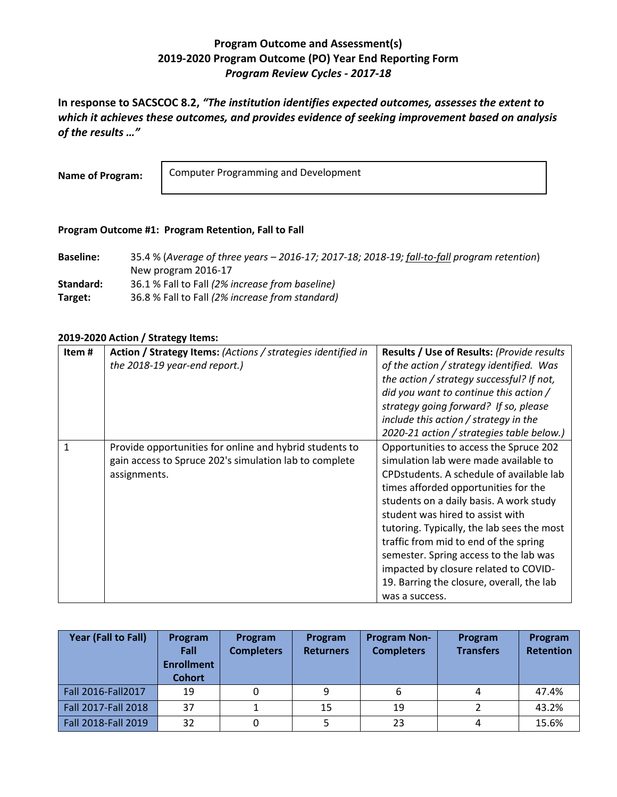## **Program Outcome and Assessment(s) 2019-2020 Program Outcome (PO) Year End Reporting Form** *Program Review Cycles - 2017-18*

**In response to SACSCOC 8.2,** *"The institution identifies expected outcomes, assesses the extent to which it achieves these outcomes, and provides evidence of seeking improvement based on analysis of the results …"*

**Name of Program:**

Computer Programming and Development

## **Program Outcome #1: Program Retention, Fall to Fall**

| <b>Baseline:</b> | 35.4 % (Average of three years $-$ 2016-17; 2017-18; 2018-19; fall-to-fall program retention) |
|------------------|-----------------------------------------------------------------------------------------------|
|                  | New program 2016-17                                                                           |
| Standard:        | 36.1 % Fall to Fall (2% increase from baseline)                                               |
| Target:          | 36.8 % Fall to Fall (2% increase from standard)                                               |

## **2019-2020 Action / Strategy Items:**

| Item# | Action / Strategy Items: (Actions / strategies identified in<br>the 2018-19 year-end report.)                                     | <b>Results / Use of Results: (Provide results)</b><br>of the action / strategy identified. Was<br>the action / strategy successful? If not,<br>did you want to continue this action /<br>strategy going forward? If so, please<br>include this action / strategy in the<br>2020-21 action / strategies table below.)                                                                                                                                                                         |
|-------|-----------------------------------------------------------------------------------------------------------------------------------|----------------------------------------------------------------------------------------------------------------------------------------------------------------------------------------------------------------------------------------------------------------------------------------------------------------------------------------------------------------------------------------------------------------------------------------------------------------------------------------------|
| 1     | Provide opportunities for online and hybrid students to<br>gain access to Spruce 202's simulation lab to complete<br>assignments. | Opportunities to access the Spruce 202<br>simulation lab were made available to<br>CPD students. A schedule of available lab<br>times afforded opportunities for the<br>students on a daily basis. A work study<br>student was hired to assist with<br>tutoring. Typically, the lab sees the most<br>traffic from mid to end of the spring<br>semester. Spring access to the lab was<br>impacted by closure related to COVID-<br>19. Barring the closure, overall, the lab<br>was a success. |

| Year (Fall to Fall) | Program<br>Fall<br><b>Enrollment</b><br><b>Cohort</b> | Program<br><b>Completers</b> | Program<br><b>Returners</b> | <b>Program Non-</b><br><b>Completers</b> | Program<br><b>Transfers</b> | Program<br><b>Retention</b> |
|---------------------|-------------------------------------------------------|------------------------------|-----------------------------|------------------------------------------|-----------------------------|-----------------------------|
| Fall 2016-Fall 2017 | 19                                                    |                              | 9                           | 6                                        |                             | 47.4%                       |
| Fall 2017-Fall 2018 | 37                                                    |                              | 15                          | 19                                       |                             | 43.2%                       |
| Fall 2018-Fall 2019 | 32                                                    |                              |                             | 23                                       |                             | 15.6%                       |